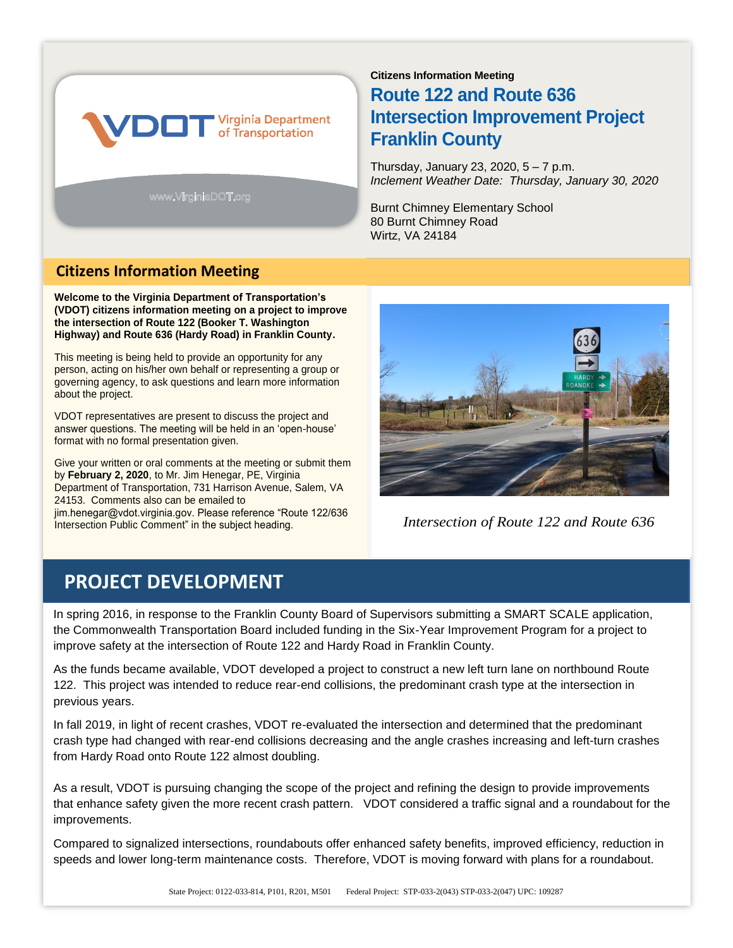

www.VirginiaDOT.org

# **Citizens Information Meeting Route 122 and Route 636 Intersection Improvement Project Franklin County**

Thursday, January 23, 2020, 5 – 7 p.m. *Inclement Weather Date: Thursday, January 30, 2020*

Burnt Chimney Elementary School 80 Burnt Chimney Road Wirtz, VA 24184

## **Citizens Information Meeting**

**Welcome to the Virginia Department of Transportation's (VDOT) citizens information meeting on a project to improve the intersection of Route 122 (Booker T. Washington Highway) and Route 636 (Hardy Road) in Franklin County.** 

This meeting is being held to provide an opportunity for any person, acting on his/her own behalf or representing a group or governing agency, to ask questions and learn more information about the project.

VDOT representatives are present to discuss the project and answer questions. The meeting will be held in an 'open-house' format with no formal presentation given.

Give your written or oral comments at the meeting or submit them by **February 2, 2020**, to Mr. Jim Henegar, PE, Virginia Department of Transportation, 731 Harrison Avenue, Salem, VA 24153. Comments also can be emailed to jim.henegar@vdot.virginia.gov. Please reference "Route 122/636 Intersection Public Comment" in the subject heading.



*Intersection of Route 122 and Route 636* 

# **PROJECT DEVELOPMENT**

In spring 2016, in response to the Franklin County Board of Supervisors submitting a SMART SCALE application, the Commonwealth Transportation Board included funding in the Six-Year Improvement Program for a project to improve safety at the intersection of Route 122 and Hardy Road in Franklin County.

As the funds became available, VDOT developed a project to construct a new left turn lane on northbound Route 122. This project was intended to reduce rear-end collisions, the predominant crash type at the intersection in previous years.

In fall 2019, in light of recent crashes, VDOT re-evaluated the intersection and determined that the predominant crash type had changed with rear-end collisions decreasing and the angle crashes increasing and left-turn crashes from Hardy Road onto Route 122 almost doubling.

As a result, VDOT is pursuing changing the scope of the project and refining the design to provide improvements that enhance safety given the more recent crash pattern. VDOT considered a traffic signal and a roundabout for the improvements.

Compared to signalized intersections, roundabouts offer enhanced safety benefits, improved efficiency, reduction in speeds and lower long-term maintenance costs. Therefore, VDOT is moving forward with plans for a roundabout.